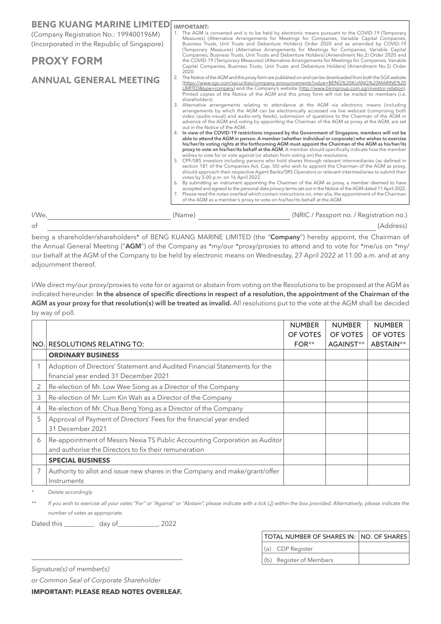| Printed copies of the Notice of the AGM and this proxy form will not be mailed to members (i.e.<br>3. Alternative arrangements relating to attendance at the AGM via electronic means (including<br>arrangements by which the AGM can be electronically accessed via live webcast (comprising both<br>video (audio-visual) and audio-only feeds), submission of questions to the Chairman of the AGM in<br>advance of the AGM and voting by appointing the Chairman of the AGM as proxy at the AGM, are set<br>4. In view of the COVID-19 restrictions imposed by the Government of Singapore, members will not be<br>able to attend the AGM in person. A member (whether individual or corporate) who wishes to exercise<br>his/her/its voting rights at the forthcoming AGM must appoint the Chairman of the AGM as his/her/its<br>proxy to vote on his/her/its behalf at the AGM. A member should specifically indicate how the member<br>wishes to vote for or vote against (or abstain from voting on) the resolutions.<br>5. CPF/SRS investors including persons who hold shares through relevant intermediaries (as defined in<br>section 181 of the Companies Act, Cap. 50) who wish to appoint the Chairman of the AGM as proxy,<br>should approach their respective Agent Banks/SRS Operators or relevant intermediaries to submit their<br>votes by 5.00 p.m. on 16 April 2022.<br>6. By submitting an instrument appointing the Chairman of the AGM as proxy, a member deemed to have<br>accepted and agreed to the personal data privacy terms set out in the Notice of the AGM dated 11 April 2022.<br>7. Please read the notes overleaf which contain instructions on, inter alia, the appointment of the Chairman<br>of the AGM as a member's proxy to vote on his/her/its behalf at the AGM.<br>(NRIC / Passport no. / Registration no.) |
|-----------------------------------------------------------------------------------------------------------------------------------------------------------------------------------------------------------------------------------------------------------------------------------------------------------------------------------------------------------------------------------------------------------------------------------------------------------------------------------------------------------------------------------------------------------------------------------------------------------------------------------------------------------------------------------------------------------------------------------------------------------------------------------------------------------------------------------------------------------------------------------------------------------------------------------------------------------------------------------------------------------------------------------------------------------------------------------------------------------------------------------------------------------------------------------------------------------------------------------------------------------------------------------------------------------------------------------------------------------------------------------------------------------------------------------------------------------------------------------------------------------------------------------------------------------------------------------------------------------------------------------------------------------------------------------------------------------------------------------------------------------------------------------------------------------------------------------------------------------|
|                                                                                                                                                                                                                                                                                                                                                                                                                                                                                                                                                                                                                                                                                                                                                                                                                                                                                                                                                                                                                                                                                                                                                                                                                                                                                                                                                                                                                                                                                                                                                                                                                                                                                                                                                                                                                                                           |
|                                                                                                                                                                                                                                                                                                                                                                                                                                                                                                                                                                                                                                                                                                                                                                                                                                                                                                                                                                                                                                                                                                                                                                                                                                                                                                                                                                                                                                                                                                                                                                                                                                                                                                                                                                                                                                                           |
|                                                                                                                                                                                                                                                                                                                                                                                                                                                                                                                                                                                                                                                                                                                                                                                                                                                                                                                                                                                                                                                                                                                                                                                                                                                                                                                                                                                                                                                                                                                                                                                                                                                                                                                                                                                                                                                           |
|                                                                                                                                                                                                                                                                                                                                                                                                                                                                                                                                                                                                                                                                                                                                                                                                                                                                                                                                                                                                                                                                                                                                                                                                                                                                                                                                                                                                                                                                                                                                                                                                                                                                                                                                                                                                                                                           |
|                                                                                                                                                                                                                                                                                                                                                                                                                                                                                                                                                                                                                                                                                                                                                                                                                                                                                                                                                                                                                                                                                                                                                                                                                                                                                                                                                                                                                                                                                                                                                                                                                                                                                                                                                                                                                                                           |
| The Notice of the AGM and this proxy form are published on and can be downloaded from both the SGX website<br>(https://www.sgx.com/securities/company-announcements?value=BENG%20KUANG%20MARINE%20<br>LIMITED&type=company) and the Company's website (http://www.bkmgroup.com.sq/investor-relation).                                                                                                                                                                                                                                                                                                                                                                                                                                                                                                                                                                                                                                                                                                                                                                                                                                                                                                                                                                                                                                                                                                                                                                                                                                                                                                                                                                                                                                                                                                                                                     |
| (Temporary Measures) (Alternative Arrangements for Meetings for Companies, Variable Capital<br>Companies, Business Trusts, Unit Trusts and Debenture Holders) (Amendment No.2) Order 2020 and<br>the COVID-19 (Temporary Measures) (Alternative Arrangements for Meetings for Companies, Variable<br>Capital Companies, Business Trusts, Unit Trusts and Debenture Holders) (Amendment No.3) Order                                                                                                                                                                                                                                                                                                                                                                                                                                                                                                                                                                                                                                                                                                                                                                                                                                                                                                                                                                                                                                                                                                                                                                                                                                                                                                                                                                                                                                                        |
| 1. The AGM is convened and is to be held by electronic means pursuant to the COVID-19 (Temporary<br>Measures) (Alternative Arrangements for Meetings for Companies, Variable Capital Companies,<br>Business Trusts, Unit Trusts and Debenture Holders) Order 2020 and as amended by COVID-19                                                                                                                                                                                                                                                                                                                                                                                                                                                                                                                                                                                                                                                                                                                                                                                                                                                                                                                                                                                                                                                                                                                                                                                                                                                                                                                                                                                                                                                                                                                                                              |
|                                                                                                                                                                                                                                                                                                                                                                                                                                                                                                                                                                                                                                                                                                                                                                                                                                                                                                                                                                                                                                                                                                                                                                                                                                                                                                                                                                                                                                                                                                                                                                                                                                                                                                                                                                                                                                                           |

being a shareholder/shareholders\* of BENG KUANG MARINE LIMITED (the "**Company**") hereby appoint, the Chairman of the Annual General Meeting ("**AGM**") of the Company as \*my/our \*proxy/proxies to attend and to vote for \*me/us on \*my/ our behalf at the AGM of the Company to be held by electronic means on Wednesday, 27 April 2022 at 11.00 a.m. and at any adjournment thereof.

I/We direct my/our proxy/proxies to vote for or against or abstain from voting on the Resolutions to be proposed at the AGM as indicated hereunder. **In the absence of specific directions in respect of a resolution, the appointment of the Chairman of the AGM as your proxy for that resolution(s) will be treated as invalid.** All resolutions put to the vote at the AGM shall be decided by way of poll.

|   |                                                                             | <b>NUMBER</b> | <b>NUMBER</b> | <b>NUMBER</b> |
|---|-----------------------------------------------------------------------------|---------------|---------------|---------------|
|   |                                                                             | OF VOTES      | OF VOTES      | OF VOTES      |
|   | INO.I RESOLUTIONS RELATING TO:                                              | $FOR**$       | AGAINST**     | ABSTAIN**     |
|   | <b>ORDINARY BUSINESS</b>                                                    |               |               |               |
|   | Adoption of Directors' Statement and Audited Financial Statements for the   |               |               |               |
|   | financial year ended 31 December 2021                                       |               |               |               |
|   | Re-election of Mr. Low Wee Siong as a Director of the Company               |               |               |               |
| 3 | Re-election of Mr. Lum Kin Wah as a Director of the Company                 |               |               |               |
| 4 | Re-election of Mr. Chua Beng Yong as a Director of the Company              |               |               |               |
| 5 | Approval of Payment of Directors' Fees for the financial year ended         |               |               |               |
|   | 31 December 2021                                                            |               |               |               |
| 6 | Re-appointment of Messrs Nexia TS Public Accounting Corporation as Auditor  |               |               |               |
|   | and authorise the Directors to fix their remuneration                       |               |               |               |
|   | <b>SPECIAL BUSINESS</b>                                                     |               |               |               |
|   | Authority to allot and issue new shares in the Company and make/grant/offer |               |               |               |
|   | Instruments                                                                 |               |               |               |

*\* Delete accordingly*

\*\* If you wish to exercise all your votes "For" or "Against" or "Abstain", please indicate with a tick (J) within the box provided. Alternatively, please indicate the *number of votes as appropriate.*

Dated this \_\_\_\_\_\_\_\_\_ day of\_\_\_\_\_\_\_\_\_\_\_\_, 2022

| TOTAL NUMBER OF SHARES IN: NO. OF SHARES |  |
|------------------------------------------|--|
| (a) CDP Register                         |  |
| (b) Register of Members                  |  |

*Signature(s) of member(s)*

*or Common Seal of Corporate Shareholder*

**IMPORTANT: PLEASE READ NOTES OVERLEAF.**